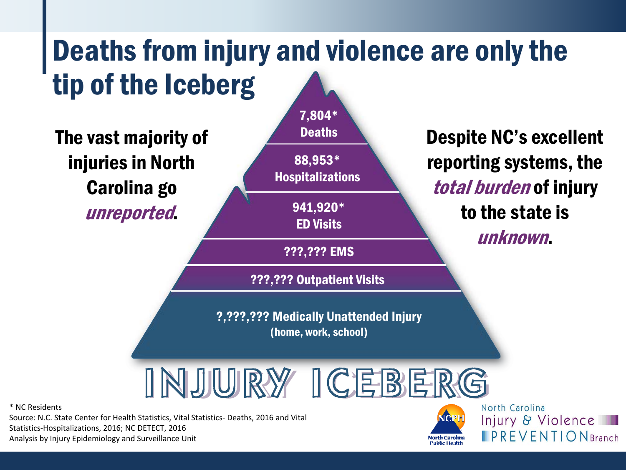# Deaths from injury and violence are only the tip of the Iceberg



\* NC Residents

Source: N.C. State Center for Health Statistics, Vital Statistics- Deaths, 2016 and Vital Statistics-Hospitalizations, 2016; NC DETECT, 2016 Analysis by Injury Epidemiology and Surveillance Unit



Injury & Violence  $\blacksquare$  PREVENTION Branch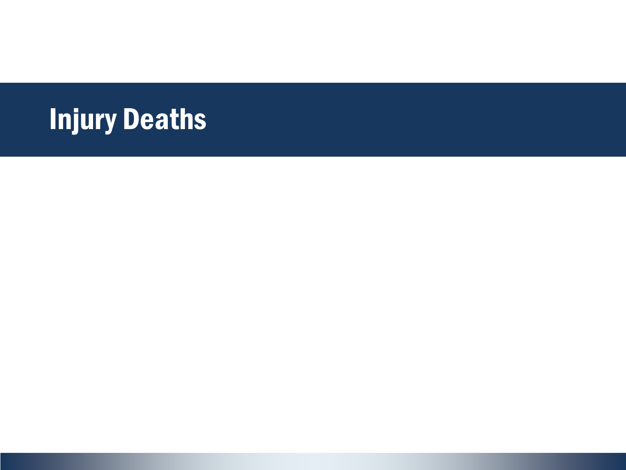# Injury Deaths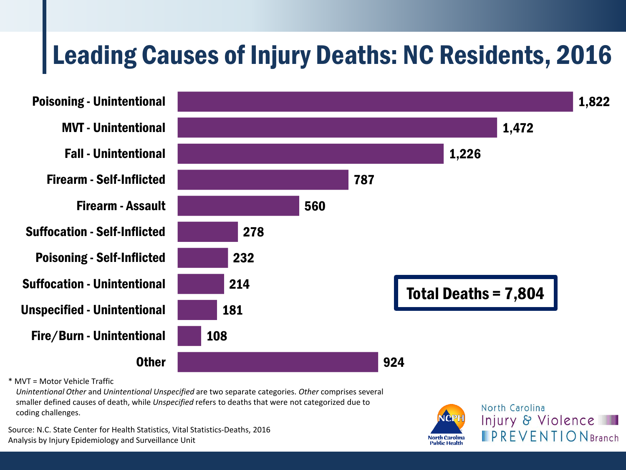## Leading Causes of Injury Deaths: NC Residents, 2016



*Unintentional Other* and *Unintentional Unspecified* are two separate categories. *Other* comprises several smaller defined causes of death, while *Unspecified* refers to deaths that were not categorized due to coding challenges.

Source: N.C. State Center for Health Statistics, Vital Statistics-Deaths, 2016 Analysis by Injury Epidemiology and Surveillance Unit

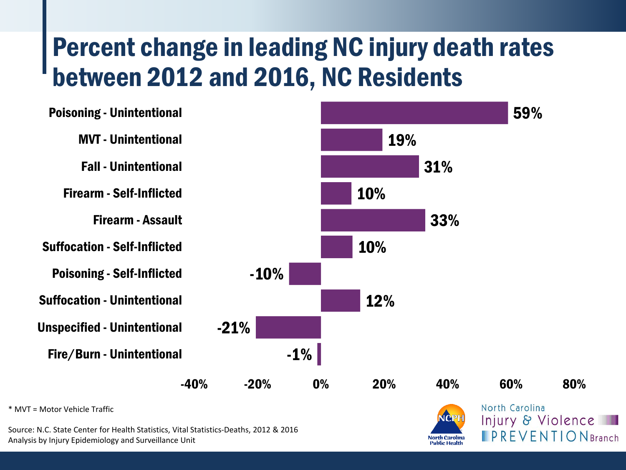### Percent change in leading NC injury death rates between 2012 and 2016, NC Residents



Source: N.C. State Center for Health Statistics, Vital Statistics-Deaths, 2012 & 2016 Analysis by Injury Epidemiology and Surveillance Unit

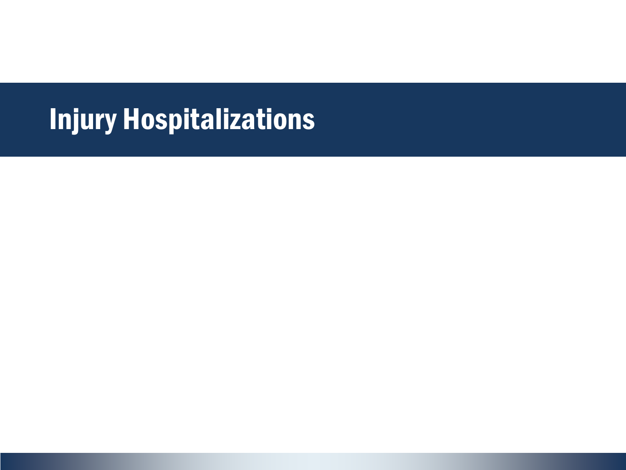## Injury Hospitalizations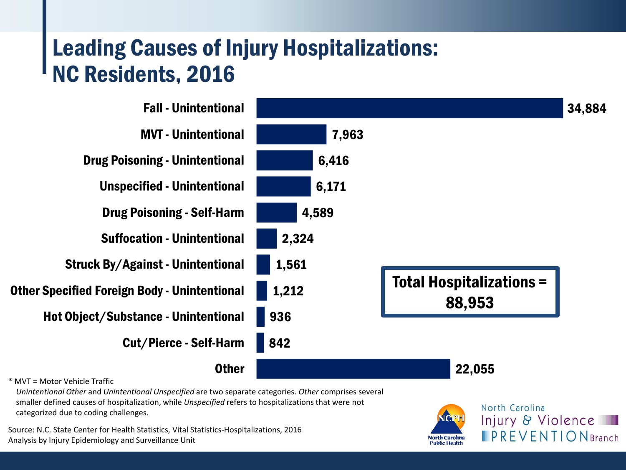### Leading Causes of Injury Hospitalizations: NC Residents, 2016



*Unintentional Other* and *Unintentional Unspecified* are two separate categories. *Other* comprises several smaller defined causes of hospitalization, while *Unspecified* refers to hospitalizations that were not categorized due to coding challenges.

Source: N.C. State Center for Health Statistics, Vital Statistics-Hospitalizations, 2016 Analysis by Injury Epidemiology and Surveillance Unit

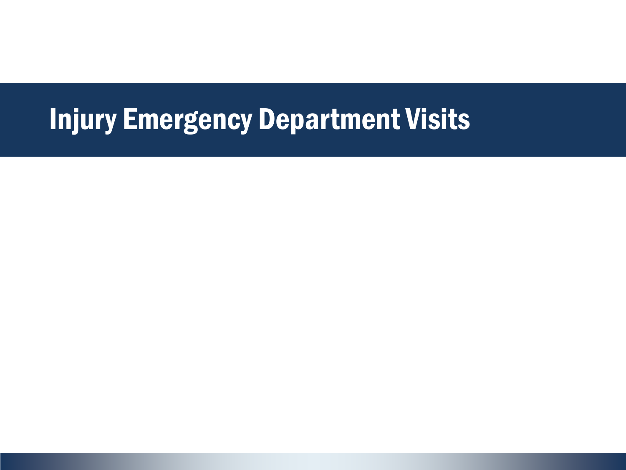## Injury Emergency Department Visits